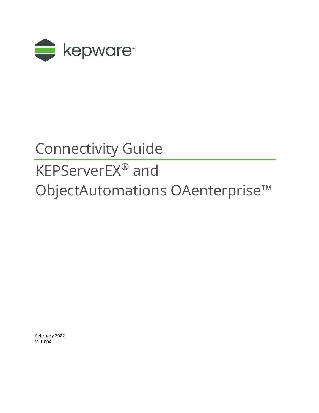

## Connectivity Guide

## KEPServerEX® and ObjectAutomations OAenterprise™

February 2022 V. 1.004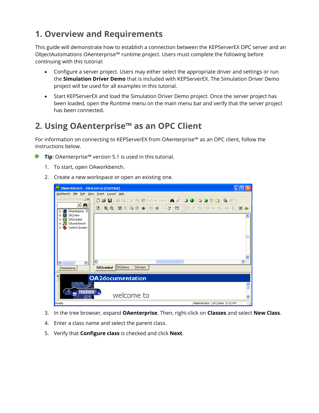## **1. Overview and Requirements**

This guide will demonstrate how to establish a connection between the KEPServerEX OPC server and an ObjectAutomations OAenterprise™ runtime project. Users must complete the following before continuing with this tutorial:

- Configure a server project. Users may either select the appropriate driver and settings or run the **Simulation Driver Demo** that is included with KEPServerEX. The Simulation Driver Demo project will be used for all examples in this tutorial.
- Start KEPServerEX and load the Simulation Driver Demo project. Once the server project has been loaded, open the Runtime menu on the main menu bar and verify that the server project has been connected.

## **2. Using OAenterprise™ as an OPC Client**

For information on connecting to KEPServerEX from OAenterprise™ as an OPC client, follow the instructions below.

- **Tip**: OAenterprise™ version 5.1 is used in this tutorial.
	- 1. To start, open OAworkbench.
	- 2. Create a new workspace or open an existing one.

| OAworkbench - OA2control [Untitled]                                                                                                                    |                                                |     |
|--------------------------------------------------------------------------------------------------------------------------------------------------------|------------------------------------------------|-----|
| Workbench File Edit View Insert Layout Help                                                                                                            |                                                |     |
| ⊡ ×i<br>$\mathbf{d}$<br>▾╎                                                                                                                             | A 5 0 0 0 0 3 2 4 6<br>D 2 B & & X & B O + O + |     |
| $0$ Aenterprise - $\overline{D}$                                                                                                                       | ₽                                              | 원 역 |
| 0A2view<br>$\mathbf{C}$<br>$+$<br>ø<br>0A2control<br>$\overline{+}$<br>Ā<br><b>OAworkbench</b><br>÷<br>Control Libraries<br>$\overline{+}$<br><b>M</b> |                                                |     |
| $\rightarrow$<br>∢<br><b>TITLE</b>                                                                                                                     | $\rm HII$<br>к                                 | ⊁   |
| <b>OAenterprise</b>                                                                                                                                    | 0A2inform<br>0A2view<br><b>OA2control</b>      |     |
| $\frac{\mathbf{x}}{\ \mathbf{x}\ }$                                                                                                                    | <b>OA2documentation</b>                        |     |
| <b>readme</b>                                                                                                                                          | welcome to                                     |     |
| Ready                                                                                                                                                  | Administrator OPCDemo 5:32 PM                  |     |

- 3. In the tree browser, expand **OAenterprise**. Then, right-click on **Classes** and select **New Class**.
- 4. Enter a class name and select the parent class.
- 5. Verify that **Configure class** is checked and click **Next**.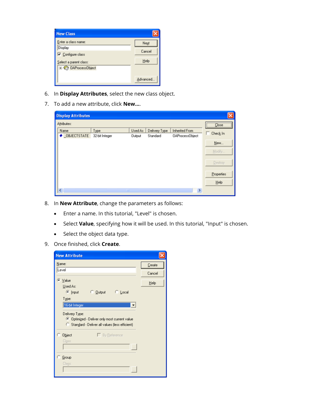| <b>New Class</b>                              |           |
|-----------------------------------------------|-----------|
| Enter a class name:<br>Display                | Next      |
| Configure class                               | Cancel    |
| Select a parent class:<br>+ C OAProcessObject | Help      |
|                                               | Advanced. |

- 6. In **Display Attributes**, select the new class object.
- 7. To add a new attribute, click **New…**.

| <b>Display Attributes</b>          |                |               |               |                        |                |
|------------------------------------|----------------|---------------|---------------|------------------------|----------------|
| Attributes:<br>Name                | Type           | Used As       | Delivery Type | Inherited From         | Close          |
| ● OBJECTSTATE                      | 32-bit Integer | <b>Output</b> | Standard      | <b>OAProcessObject</b> | Check In<br>г  |
|                                    |                |               |               |                        | New            |
|                                    |                |               |               |                        | Modify         |
|                                    |                |               |               |                        | <b>Destroy</b> |
|                                    |                |               |               |                        | Properties     |
|                                    |                |               |               |                        | Help           |
| $\left\langle \cdot \right\rangle$ | ш              |               |               | $\rightarrow$          |                |

- 8. In **New Attribute**, change the parameters as follows:
	- Enter a name. In this tutorial, "Level" is chosen.
	- Select **Value**, specifying how it will be used. In this tutorial, "Input" is chosen.
	- Select the object data type.
- 9. Once finished, click **Create**.

| <b>New Attribute</b>                                                                                                                      |         |
|-------------------------------------------------------------------------------------------------------------------------------------------|---------|
| Name:                                                                                                                                     | Create  |
| Level                                                                                                                                     | Cancel  |
| C Value<br>Used As:                                                                                                                       | $He$ lp |
| $\subseteq$ Input<br>C Output<br>™ Local<br>Type:                                                                                         |         |
| 16-bit Integer<br>Delivery Type:<br>● Optimized - Deliver only most current value<br>О.<br>Standard - Deliver all values (less efficient) |         |
| $\Box$ By Reference<br>Object<br>Class:<br>$\sim$ $\sim$ $\sim$                                                                           |         |
| Group<br>Class:                                                                                                                           |         |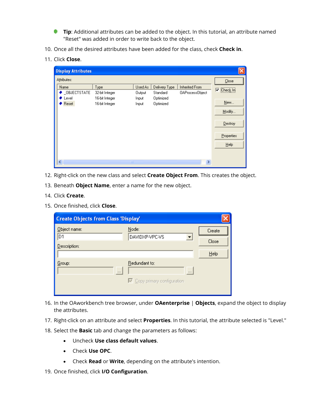- **Tip**: Additional attributes can be added to the object. In this tutorial, an attribute named "Reset" was added in order to write back to the object.
- 10. Once all the desired attributes have been added for the class, check **Check in**.
- 11. Click **Close**.

| <b>Display Attributes</b>                              |                                                            |                                     |                                                     |                                          |                                                                               |
|--------------------------------------------------------|------------------------------------------------------------|-------------------------------------|-----------------------------------------------------|------------------------------------------|-------------------------------------------------------------------------------|
| Attributes:<br>Name<br>◆ OBJECTSTATE<br>Level<br>Reset | Type<br>32-bit Integer<br>16-bit Integer<br>16-bit Integer | Used As<br>Output<br>Input<br>Input | Delivery Type<br>Standard<br>Optimized<br>Optimized | Inherited From<br><b>OAProcessObject</b> | Close<br>,,,,,,,,,,,,,,,,,,,,,,,<br>П<br>Check In<br>New<br>Modify<br>Destroy |
| $\left\vert \cdot\right\vert$                          | ШI                                                         |                                     |                                                     | ×                                        | Properties<br>Help                                                            |

- 12. Right-click on the new class and select **Create Object From**. This creates the object.
- 13. Beneath **Object Name**, enter a name for the new object.
- 14. Click **Create**.
- 15. Once finished, click **Close**.

| <b>Create Objects from Class 'Display'</b> |                                     |          |        |
|--------------------------------------------|-------------------------------------|----------|--------|
| Object name:<br>D1                         | Node:<br>DAVIDXP-VPC-VS             |          | Create |
| Description:                               |                                     |          | Close  |
|                                            |                                     |          | Help   |
| Group:<br>$\cdots$                         | Redundant to:                       | $\cdots$ |        |
|                                            | $\nabla$ Copy primary configuration |          |        |

- 16. In the OAworkbench tree browser, under **OAenterprise** | **Objects**, expand the object to display the attributes.
- 17. Right-click on an attribute and select **Properties**. In this tutorial, the attribute selected is "Level."
- 18. Select the **Basic** tab and change the parameters as follows:
	- Uncheck **Use class default values**.
	- Check **Use OPC**.
	- Check **Read** or **Write**, depending on the attribute's intention.
- 19. Once finished, click **I/O Configuration**.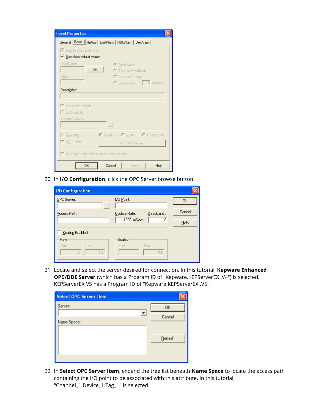| <b>Level Properties</b>                                    |
|------------------------------------------------------------|
| General Basic   History   LimitAlarm   ROCAlarm   DevAlarm |
| Enable Basic Extension                                     |
| $\overline{\vee}$ Use class default values                 |
| Initial Value:<br>C Don't Save                             |
| Set<br>C Save on Shutdown                                  |
| Units:<br>C Save on Change                                 |
| $\Box$ 0 minutes<br>C Save every                           |
| <b>Description:</b>                                        |
|                                                            |
| □ Use Attribute Link                                       |
| Link Enabled                                               |
| Source Attribute:                                          |
| $\sim$                                                     |
|                                                            |
| C Write C Read/Write<br>$\odot$ Read<br>$\Box$ Use OPC     |
| □ I/O Enabled<br>[/O Configuration                         |
| Send an event notification on every update                 |
| <b>OK</b><br>Cancel<br>Help<br><b>Apply</b>                |

20. In **I/O Configuration**, click the OPC Server browse button.

| <b>I/O Configuration</b>      |                               |         |
|-------------------------------|-------------------------------|---------|
| OPC Server:<br>$\cdots$       | 1/0 Point:                    | 0K      |
| Access Path:                  | Deadband:<br>Update Rate:     | Cancel  |
|                               | $1000$ mSecs<br>0             | $He$ lp |
| Scaling Enabled               |                               |         |
| Raw                           | Scaled                        |         |
| Min:<br>Max:<br>100<br>$\Box$ | Min:<br>Max:<br>100<br>$\Box$ |         |

21. Locate and select the server desired for connection. In this tutorial, **Kepware Enhanced OPC/DDE Server** (which has a Program ID of "Kepware.KEPServerEX .V4") is selected. KEPServerEX V5 has a Program ID of "Kepware.KEPServerEX .V5."

| <b>Select OPC Server Item</b> |           |
|-------------------------------|-----------|
| Server:                       | <b>OK</b> |
| Name Space:                   | Cancel    |
|                               | Refresh   |
|                               |           |

22. In **Select OPC Server Item**, expand the tree list beneath **Name Space** to locate the access path containing the I/O point to be associated with this attribute. In this tutorial, "Channel\_1.Device\_1.Tag\_1" is selected.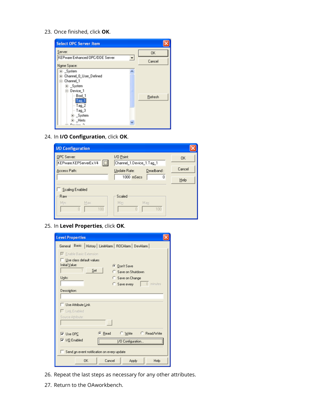23. Once finished, click **OK**.



24. In **I/O Configuration**, click **OK**.

| <b>I/O Configuration</b>                                |                                        |         |
|---------------------------------------------------------|----------------------------------------|---------|
| OPC Server:<br>$\boxed{\Box}$<br>KEPware.KEPServerEx.V4 | 1/0 Point:<br>Channel_1.Device_1.Tag_1 | OK.     |
| Access Path:                                            | Deadband:<br>Update Rate:              | Cancel  |
|                                                         | $1000$ mSecs<br>0                      | $He$ lp |
| Scaling Enabled                                         |                                        |         |
| Raw                                                     | Scaled                                 |         |
| Min:<br>Max:<br>100<br>П                                | Min:<br>Max:<br>100<br>$\cap$          |         |

25. In **Level Properties**, click **OK**.

| <b>Level Properties</b>                                           |  |  |  |  |
|-------------------------------------------------------------------|--|--|--|--|
| General Basic   History   LimitAlarm   ROCAlarm   DevAlarm        |  |  |  |  |
| Enable Basic Extension<br>Use class default values                |  |  |  |  |
| Initial Value:<br><b>Don't Save</b><br>Set<br>Save on Shutdown    |  |  |  |  |
| Units:<br>Save on Change                                          |  |  |  |  |
| 0 minutes<br>Save every                                           |  |  |  |  |
| Description:                                                      |  |  |  |  |
| Use Attribute Link                                                |  |  |  |  |
| Link Enabled                                                      |  |  |  |  |
| Source Attribute:<br>112                                          |  |  |  |  |
| C Read/Write<br><b>C</b> Read<br>Write<br>$\triangledown$ Use OPC |  |  |  |  |
| $\overline{V}$ I/O Enabled<br>1/0 Configuration                   |  |  |  |  |
| Send an event notification on every update                        |  |  |  |  |
| <b>DK</b><br>Cancel<br>Help<br>Apply                              |  |  |  |  |

- 26. Repeat the last steps as necessary for any other attributes.
- 27. Return to the OAworkbench.